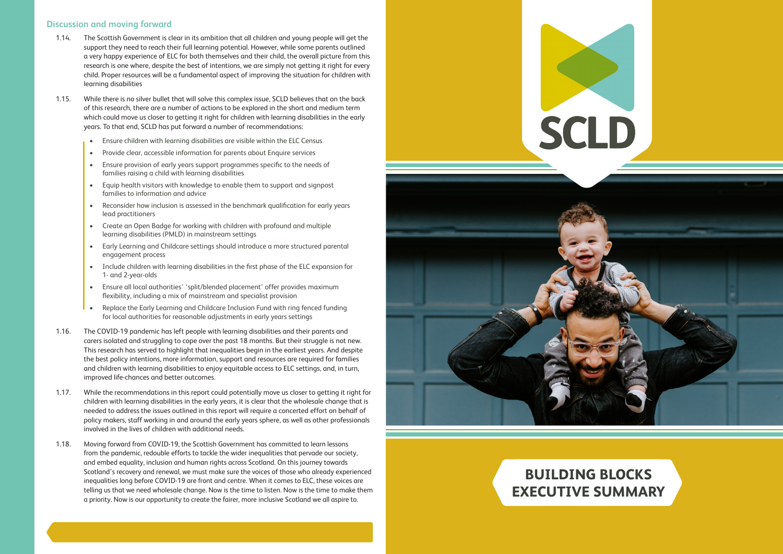# **BUILDING BLOCKS EXECUTIVE SUMMARY**



#### **Discussion and moving forward**

- 1.14.The Scottish Government is clear in its ambition that all children and young people will get the support they need to reach their full learning potential. However, while some parents outlined a very happy experience of ELC for both themselves and their child, the overall picture from this research is one where, despite the best of intentions, we are simply not getting it right for every child. Proper resources will be a fundamental aspect of improving the situation for children with learning disabilities
- 1.15.While there is no silver bullet that will solve this complex issue, SCLD believes that on the back of this research, there are a number of actions to be explored in the short and medium term which could move us closer to getting it right for children with learning disabilities in the early years. To that end, SCLD has put forward a number of recommendations:
	- Ensure children with learning disabilities are visible within the ELC Census
	- Provide clear, accessible information for parents about Enquire services
	- Ensure provision of early years support programmes specific to the needs of families raising a child with learning disabilities
	- Equip health visitors with knowledge to enable them to support and signpost families to information and advice
	- Reconsider how inclusion is assessed in the benchmark qualification for early years lead practitioners
	- Create an Open Badge for working with children with profound and multiple learning disabilities (PMLD) in mainstream settings
	- Early Learning and Childcare settings should introduce a more structured parental engagement process
	- Include children with learning disabilities in the first phase of the ELC expansion for 1- and 2-year-olds
	- Ensure all local authorities' 'split/blended placement' offer provides maximum flexibility, including a mix of mainstream and specialist provision
	- Replace the Early Learning and Childcare Inclusion Fund with ring fenced funding for local authorities for reasonable adjustments in early years settings
- 1.16. The COVID-19 pandemic has left people with learning disabilities and their parents and carers isolated and struggling to cope over the past 18 months. But their struggle is not new. This research has served to highlight that inequalities begin in the earliest years. And despite the best policy intentions, more information, support and resources are required for families and children with learning disabilities to enjoy equitable access to ELC settings, and, in turn, improved life-chances and better outcomes.
- 1.17.While the recommendations in this report could potentially move us closer to getting it right for children with learning disabilities in the early years, it is clear that the wholesale change that is needed to address the issues outlined in this report will require a concerted effort on behalf of policy makers, staff working in and around the early years sphere, as well as other professionals involved in the lives of children with additional needs.
- 1.18. Moving forward from COVID-19, the Scottish Government has committed to learn lessons from the pandemic, redouble efforts to tackle the wider inequalities that pervade our society, and embed equality, inclusion and human rights across Scotland. On this journey towards Scotland's recovery and renewal, we must make sure the voices of those who already experienced inequalities long before COVID-19 are front and centre. When it comes to ELC, these voices are telling us that we need wholesale change. Now is the time to listen. Now is the time to make them a priority. Now is our opportunity to create the fairer, more inclusive Scotland we all aspire to.